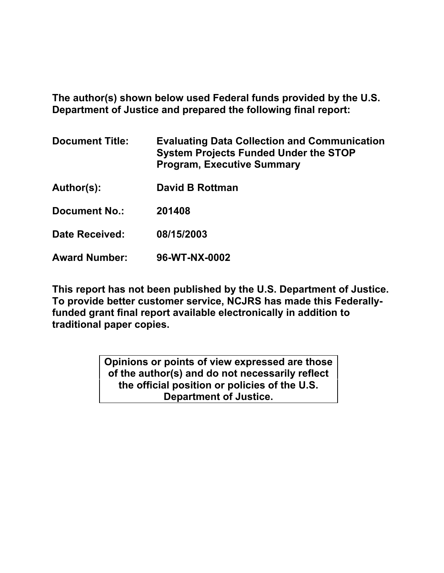**The author(s) shown below used Federal funds provided by the U.S. Department of Justice and prepared the following final report:** 

| <b>Document Title:</b> | <b>Evaluating Data Collection and Communication</b><br><b>System Projects Funded Under the STOP</b><br><b>Program, Executive Summary</b> |
|------------------------|------------------------------------------------------------------------------------------------------------------------------------------|
| Author(s):             | David B Rottman                                                                                                                          |
| <b>Document No.:</b>   | 201408                                                                                                                                   |
| Date Received:         | 08/15/2003                                                                                                                               |
| <b>Award Number:</b>   | 96-WT-NX-0002                                                                                                                            |

**This report has not been published by the U.S. Department of Justice. To provide better customer service, NCJRS has made this Federallyfunded grant final report available electronically in addition to traditional paper copies.**

> **Opinions or points of view expressed are those of the author(s) and do not necessarily reflect the official position or policies of the U.S. Department of Justice.**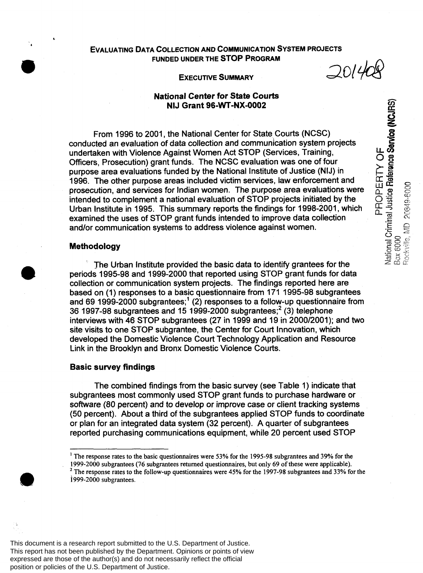# **EVALUATING DATA COLLECTION AND COMMUNICATION SYSTEM PROJECTS FUNDED UNDER THE STOP PROGRAM**

**EXECUTIVE SUMMARY**  $\mathcal{Q}044$ 

National Criminal Justice Reference Service (NCJRS)<br>Box 6000<br>Rockville, MD 20649-6000

PROPERTY OF

#### **National Center for** *State* **Courts NIJ Grant 96-WT-NX-0002**

From 1996 to 2001, the National Center for State Courts (NCSC) conducted an evaluation of data collection and communication system projects undertaken with Violence Against Women Act STOP (Services, Training, Officers, Prosecution) grant funds. The NCSC evaluation was one of four purpose area evaluations funded by the National Institute of Justice (NIJ) in 1996. The other purpose areas included victim services, law enforcement and prosecution, and services for Indian women. The purpose area evaluations were intended to complement a national evaluation of STOP projects initiated by the Urban Institute in 1995. This summary reports the findings for 1998-2001, which examined the uses of STOP grant funds intended to improve data collection and/or communication systems to address violence against women.

#### **Methodology**

**E** 

*I* 

The Urban Institute provided the basic data to identify grantees for the periods 1995-98 and 1999-2000 that reported using STOP grant funds for data collection or communication system projects. The findings reported here are based on (1) responses to a basic questionnaire from 171 1995-98 subgrantees and 69 1999-2000 subgrantees;' (2) responses to a follow-up questionnaire from 36 1997-98 subgrantees and 15 1999-2000 subgrantees;2 **(3)** telephone interviews with 46 STOP subgrantees (27 in 1999 and 19 in 2000/2001); and **two**  site visits to one STOP subgrantee, the Center for Court Innovation, which developed the Domestic Violence Court Technology Application and Resource Link in the Brooklyn and Bronx Domestic Violence Courts.

# **Basic survey findings**

The combined findings from the basic survey (see Table 1) indicate that subgrantees most commonly used STOP grant funds to purchase hardware or software (80 percent) and to develop or improve case or client tracking systems (50 percent). About a third of the subgrantees applied STOP funds to coordinate or plan for an integrated data system (32 percent). A quarter of subgrantees reported purchasing communications equipment, while 20 percent used STOP

<sup>&#</sup>x27; **The response rates to the basic questionnaires were 53% for the 1995-98 subgrantees and 39% for the 1999-2000 subgrantees (76 subgrantees returned questionnaires, but only 69 of these were applicable). 1999-2000 subgrantees.**  <sup>2</sup> The response rates to the follow-up questionnaires were 45% for the 1997-98 subgrantees and 33% for the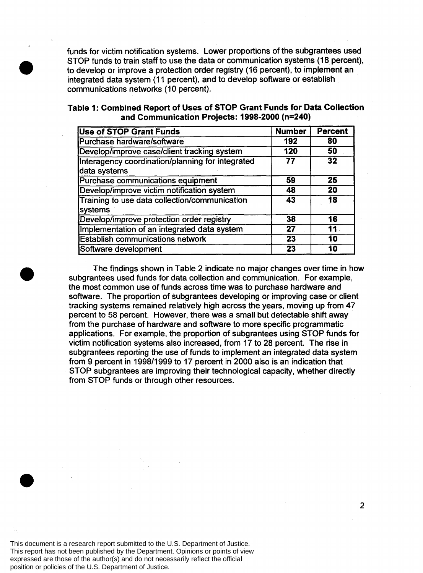funds for victim notification systems. Lower proportions of the subgrantees used STOP funds to train staff to use the data or communication systems (18 percent): to develop or improve a protection order registry (16 percent), to implement an integrated data system (11 percent), and to develop software or establish communications networks (10 percent).

| <b>Use of STOP Grant Funds</b>                                   | <b>Number</b> | <b>Percent</b> |
|------------------------------------------------------------------|---------------|----------------|
| Purchase hardware/software                                       | 192           | 80             |
| Develop/improve case/client tracking system                      | 120           | 50             |
| Interagency coordination/planning for integrated<br>data systems | 77            | 32             |
| Purchase communications equipment                                | 59            | 25             |
| Develop/improve victim notification system                       | 48            | 20             |
| Training to use data collection/communication<br>systems         | 43            | 18             |
| Develop/improve protection order registry                        | 38            | 16             |
| Implementation of an integrated data system                      | 27            | 11             |
| <b>Establish communications network</b>                          | 23            | 10             |
| Software development                                             | 23            | 10             |

**Table I: Combined Report of Uses of STOP Grant Funds for Data Collection and Communication Projects: 1998-2000 (n=240)** 

The findings shown in Table 2 indicate no major changes over time in how subgrantees used funds for data collection and communication. For example, the most common use of funds across time was to purchase hardware and software. The proportion of subgrantees developing or improving case or client tracking systems remained relatively high across the years, moving up from 47 percent to 58 percent. However, there was a small but detectable shift away from the purchase of hardware and software to more specific programmatic applications. For example, the proportion of subgrantees using STOP funds for victim notification systems also increased, from 17 to 28 percent. The rise in subgrantees reporting the use of funds to implement an integrated data system from 9 percent in 1998/1999 to 17 percent in 2000 also is an indication that STOP subgrantees are improving their technological capacity, whether directly from STOP funds or through other resources.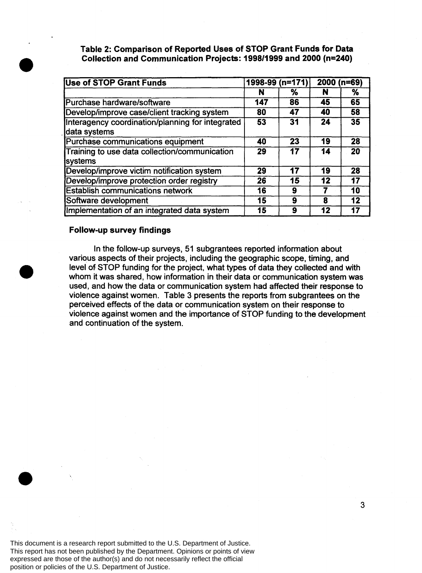**Table 2: Comparison of Reported Uses of STOP Grant Funds for Data Collection and Communication Projects: 199811 999 and 2000 (n=240)** 

| <b>Use of STOP Grant Funds</b>                                   |     | $1998-99$ (n=171) |    | $2000(n=69)$    |  |
|------------------------------------------------------------------|-----|-------------------|----|-----------------|--|
|                                                                  | N   | ℅                 | N  | ℅               |  |
| Purchase hardware/software                                       | 147 | 86                | 45 | 65              |  |
| Develop/improve case/client tracking system                      | 80  | 47                | 40 | 58              |  |
| Interagency coordination/planning for integrated<br>data systems | 53  | 31                | 24 | 35              |  |
| Purchase communications equipment                                | 40  | 23                | 19 | 28              |  |
| Training to use data collection/communication<br>systems         | 29  | 17                | 14 | $\overline{20}$ |  |
| Develop/improve victim notification system                       | 29  | 17                | 19 | 28              |  |
| Develop/improve protection order registry                        | 26  | 15                | 12 | 17              |  |
| <b>Establish communications network</b>                          | 16  | 9                 |    | 10              |  |
| Software development                                             | 15  | 9                 | 8  | $\overline{12}$ |  |
| Implementation of an integrated data system                      | 15  | 9                 | 12 | 17              |  |

#### **Follow-up survey findings**

In the follow-up surveys, 51 subgrantees reported information about various aspects of their projects, including the geographic scope, timing, and level of STOP funding for the project, what types of data they collected and with whom it was shared, how information in their data or communication system was used, and how the data or communication system had affected their response to violence against women. Table **3** presents the reports from subgrantees on the perceived effects of the data or communication system on their response to violence against women and the importance of STOP funding to the development and continuation of the system.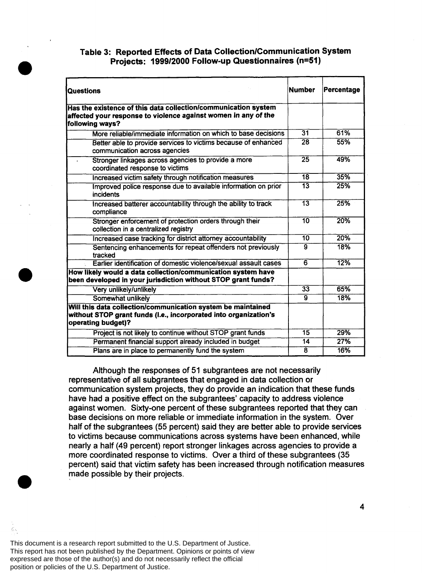# **Table 3: Reported Effects of Data Collection/Communication System Projects: 1999/2000 Follow-up Questionnaires (n=5l)**

| <b>Questions</b>                                                                                                                                       | <b>Number</b>   | Percentage |  |
|--------------------------------------------------------------------------------------------------------------------------------------------------------|-----------------|------------|--|
| Has the existence of this data collection/communication system<br>affected your response to violence against women in any of the<br>following ways?    |                 |            |  |
| More reliable/immediate information on which to base decisions                                                                                         | $\overline{31}$ | 61%        |  |
| Better able to provide services to victims because of enhanced<br>communication across agencies                                                        | $\overline{28}$ | 55%        |  |
| Stronger linkages across agencies to provide a more<br>$\mathbf{4}^{\top}$<br>coordinated response to victims                                          | $\overline{25}$ | 49%        |  |
| Increased victim safety through notification measures                                                                                                  | $\overline{18}$ | 35%        |  |
| Improved police response due to available information on prior<br>incidents                                                                            | $\overline{13}$ | 25%        |  |
| Increased batterer accountability through the ability to track<br>compliance                                                                           | $\overline{13}$ | 25%        |  |
| Stronger enforcement of protection orders through their<br>collection in a centralized registry                                                        | 10              | 20%        |  |
| Increased case tracking for district attorney accountability                                                                                           | $\overline{10}$ | 20%        |  |
| Sentencing enhancements for repeat offenders not previously<br>tracked                                                                                 | $\overline{9}$  | 18%        |  |
| Earlier identification of domestic violence/sexual assault cases                                                                                       | $\overline{6}$  | 12%        |  |
| How likely would a data collection/communication system have<br>been developed in your jurisdiction without STOP grant funds?                          |                 |            |  |
| Very unlikely/unlikely                                                                                                                                 | $\overline{33}$ | 65%        |  |
| Somewhat unlikely                                                                                                                                      | $\mathbf{q}$    | 18%        |  |
| Will this data collection/communication system be maintained<br>without STOP grant funds (I.e., incorporated into organization's<br>operating budget)? |                 |            |  |
| Project is not likely to continue without STOP grant funds                                                                                             | 15              | 29%        |  |
| Permanent financial support already included in budget                                                                                                 | 14              | 27%        |  |
| Plans are in place to permanently fund the system                                                                                                      | $\overline{8}$  | 16%        |  |

Although the responses of 51 subgrantees are not necessarily representative of all subgrantees that engaged in data collection or communication system projects, they do provide an indication that these funds have had a positive effect on the subgrantees' capacity to address violence against women. Sixty-one percent of these subgrantees reported that they can base decisions on more reliable or immediate information in the system. Over half of the subgrantees (55 percent) said they are better able to provide services to victims because communications across systems have been enhanced, while nearly a half (49 percent) report stronger linkages across agencies to provide a more coordinated response to victims. Over a third of these subgrantees (35 percent) said that victim safety has been increased through notification measures made possible by their projects.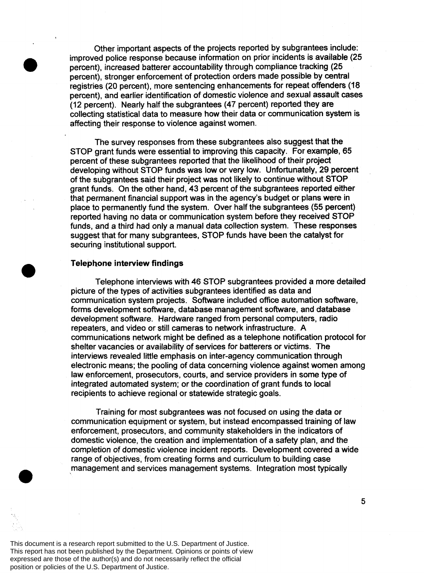Other important aspects of the projects reported by subgrantees include: improved police response because information on prior incidents is available (25 percent), increased batterer accountability through compliance tracking (25 percent), stronger enforcement of protection orders made possible by central registries (20 percent), more sentencing enhancements for repeat offenders (18 percent), and earlier identification of domestic violence and sexual assault cases (12 percent). Nearly half the subgrantees (47 percent) reported they are collecting statistical data to measure how their data or communication system is affecting their response to violence against women.

The survey responses from these subgrantees also suggest that the STOP grant funds were essential to improving this capacity. For example, 65 percent of these subgrantees reported that the likelihood of their project developing without STOP funds was low or very low. Unfortunately, 29 percent of the subgrantees said their project was not likely to continue without STOP grant funds. On the other hand, 43 percent of the subgrantees reported either that permanent financial support was in the agency's budget or plans were in place to permanently fund the system. Over half the subgrantees (55 percent) reported having no data or communication system before they received STOP funds, and a third had only a manual data collection system. These responses suggest that for many subgrantees, STOP funds have been the catalyst for securing institutional support.

#### **Telephone interview findings**

Telephone interviews with 46 STOP subgrantees provided a more detailed picture of the types of activities subgrantees identified as data and communication system projects. Software included office automation software, forms development software, database management software, and database development software. Hardware ranged from personal computers, radio repeaters, and video or still cameras to network infrastructure. A communications network might be defined as a telephone notification protocol for shelter vacancies or availability of services for batterers or victims. The interviews revealed little emphasis on inter-agency communication through electronic means; the pooling of data concerning violence against women among law enforcement, prosecutors, courts, and service providers in some type of integrated automated system; or the coordination of grant funds to local recipients to achieve regional or statewide strategic goals.

Training for most subgrantees was not focused on using the data or communication equipment or system, but instead encompassed training of law enforcement, prosecutors, and community stakeholders in the indicators of domestic violence, the creation and implementation of a safety plan, and the completion of domestic violence incident reports. Development covered a wide range of objectives, from creating forms and curriculum to building case management and services management systems. Integration most typically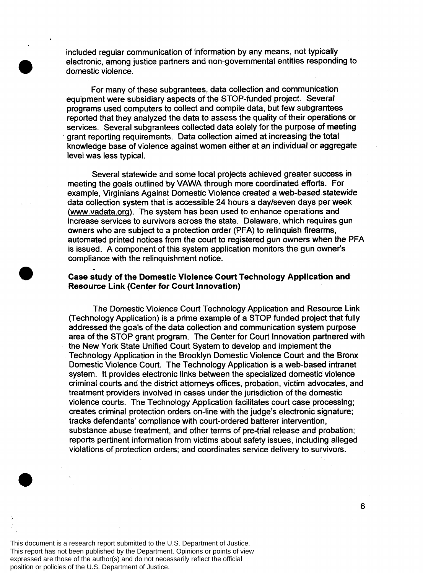included regular communication of information by any means, not typically electronic, among justice partners and non-governmental entities responding to domestic violence.

For many of these subgrantees, data collection and communication equipment were subsidiary aspects of the STOP-funded project. Several programs used computers to collect and compile data, but few subgrantees reported that they analyzed the data to assess the quality of their operations or services. Several subgrantees collected data solely for the purpose of meeting knowledge base of violence against women either at an individual or aggregate level was less typical. grant reporting requirements. Data collection aimed at increasing the total

Several statewide and some local projects achieved greater success in meeting the goals outlined by VAWA through more coordinated efforts. For example, Virginians Against Domestic Violence created a web-based statewide data collection system that is accessible 24 hours a daykeven days per week (www.vadata.org). The system has been used to enhance operations and increase services to survivors across the state. Delaware, which requires gun owners who are subject to a protection order (PFA) to relinquish firearms, automated printed notices from the court to registered gun owners when the PFA is issued. A component of this system application monitors the gun owner's compliance with the relinquishment notice.

### **Case study of the Domestic Violence Court Technology Application and Resource Link (Center for Court Innovation)**

The Domestic Violence Court Technology Application and Resource Link (Technology Application) is a prime example of a STOP funded project that fully addressed the goals of the data collection and communication system purpose area of the STOP grant program. The Center for Court Innovation partnered with the New York State Unified Court System to develop and implement the Technology Application in the Brooklyn Domestic Violence Court and the Bronx Domestic Violence Court. The Technology Application is a web-based intranet system. It provides electronic links between the specialized domestic violence criminal courts and the district attorneys offices, probation, victim advocates, and treatment providers involved in cases under the jurisdiction of the domestic violence courts. The Technology Application facilitates court case processing; creates criminal protection orders on-line with the judge's electronic signature; tracks defendants' compliance with court-ordered batterer intervention, substance abuse treatment, and other terms of pre-trial release and probation; reports pertinent information from victims about safety issues, including alleged violations of protection orders; and coordinates service delivery to survivors.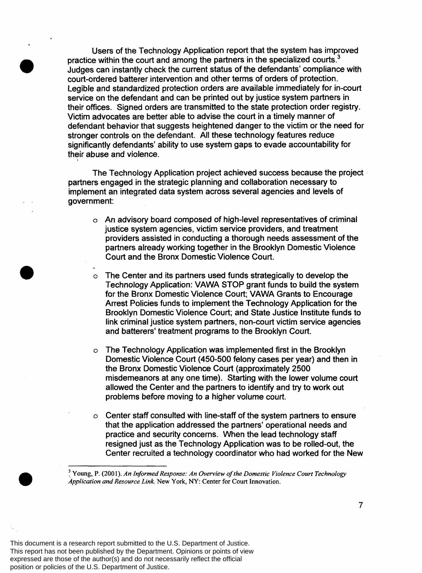Users of the Technology Application report that the system has improved practice within the court and among the partners in the specialized courts. $3$ Judges can instantly check the current status of the defendants' compliance with court-ordered batterer intervention and other terms of orders of protection. Legible and standardized protection orders are available immediately for in-court service on the defendant and can be printed out by justice system partners in their offices. Signed orders are transmitted to the state protection order registry. Victim advocates are better able to advise the court in a timely manner of defendant behavior that suggests heightened danger to the victim or the need for stronger controls on the defendant. All these technology features reduce significantly defendants' ability to use system gaps to evade accountability for their abuse and violence.

The Technology Application project achieved success because the project partners engaged in the strategic planning and collaboration necessary to implement an integrated data system across several agencies and levels of government:

- *0*  An advisory board composed of high-level representatives of criminal justice system agencies, victim service providers, and treatment providers assisted in conducting a thorough needs assessment of the partners already working together in the Brooklyn Domestic Violence Court and the Bronx Domestic Violence Court.
- *0*  The Center and its partners used funds strategically to develop the Technology Application: VAWA STOP grant funds to build the system for the Bronx Domestic Violence Court; VAWA Grants to Encourage Arrest Policies funds to implement the Technology Application for the Brooklyn Domestic Violence Court; and State Justice Institute funds to link criminal justice system partners, non-court victim service agencies and batterers' treatment programs to the Brooklyn Court.
- *0*  The Technology Application was implemented first in the Brooklyn Domestic Violence Court (450-500 felony cases per year) and then in the Bronx Domestic Violence Court (approximately 2500 misdemeanors at any one time). Starting with the lower volume court allowed the Center and the partners to identify and try to work out problems before moving to a higher volume court.
- *0*  Center staff consulted with line-staff of the system partners to ensure that the application addressed the partners' operational needs and practice and security concerns. When the lead technology staff resigned just as the Technology Application was to be rolled-out, the Center recruited a technology coordinator who had worked for the New

**Young, P. (200 1).** *An Informed Response: An Overview of the Domestic Violence Court Technology Application and Resource Link.* **New York, NY: Center for Court Innovation.** 

4

-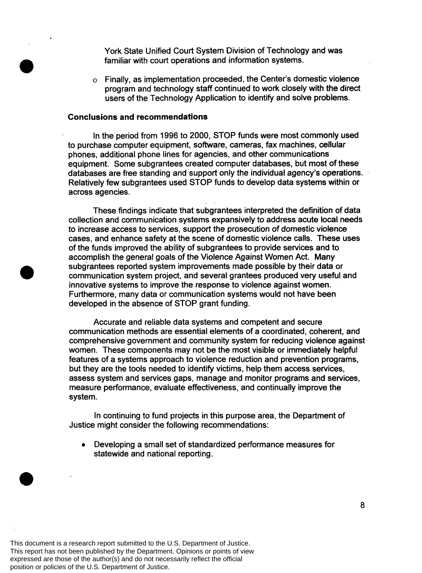York State Unified Court System Division of Technology and was familiar with court operations and information systems.

o Finally, as implementation proceeded, the Center's domestic violence program and technology staff continued to work closely with the direct users of the Technology Application to identify and solve problems.

# **Conclusions and recommendations**

In the period from 1996 to 2000, STOP funds were most commonly used to purchase computer equipment, software, cameras, fax machines, cellular phones, additional phone lines for agencies, and other communications equipment. Some subgrantees created computer databases, but most of these databases are free standing and support only the individual agency's operations. Relatively few subgrantees used STOP funds to develop data systems within or across agencies.

These findings indicate that subgrantees interpreted the definition of data collection and communication systems expansively to address acute local needs to increase access to services, support the prosecution of domestic violence cases, and enhance safety at the scene of domestic violence calls. These uses of the funds improved the ability of subgrantees to provide services and to accomplish the general goals of the Violence Against Women Act. Many subgrantees reported system improvements made possible by their data or communication system project, and several grantees produced very useful and innovative systems to improve the response to violence against women. Furthermore, many data or communication systems would not have been developed in the absence of STOP grant funding.

Accurate and reliable data systems and competent and secure communication methods are essential elements of a coordinated, coherent, and comprehensive government and community system for reducing violence against women. These components may not be the most visible or immediately helpful features of a systems approach to violence reduction and prevention programs, but they are the tools needed to identify victims, help them access services, assess system and services gaps, manage and monitor programs and services, measure performance, evaluate effectiveness, and continually improve the system.

In continuing to fund projects in this purpose area, the Department of Justice might consider the following recommendations:

Developing a small set of standardized performance measures for  $\bullet$ statewide and national reporting.